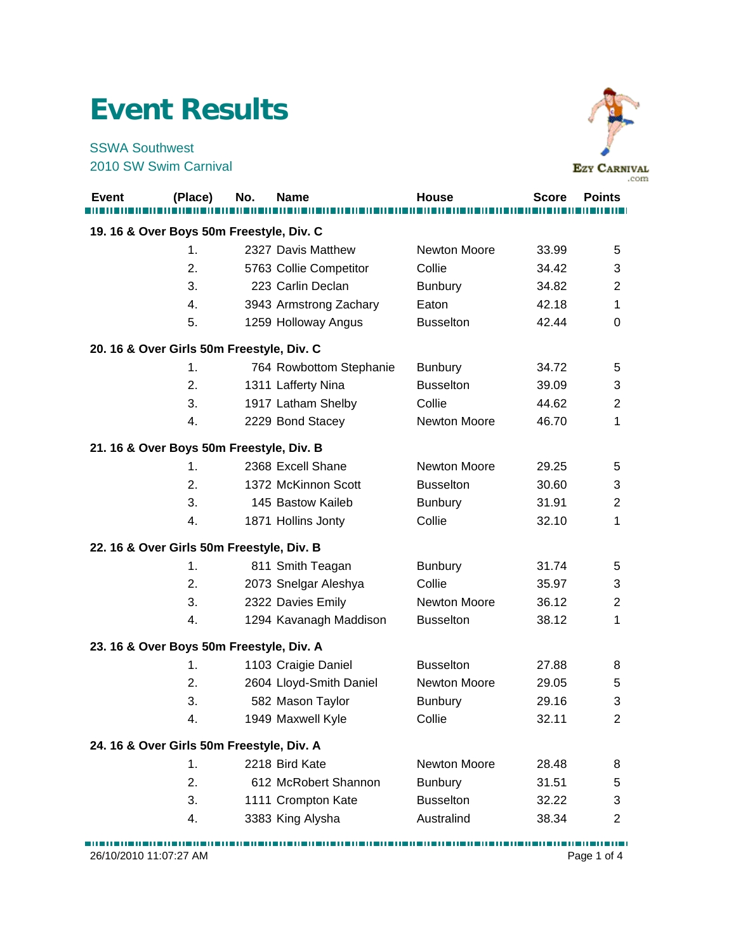## **Event Results**

SSWA Southwest 2010 SW Swim Carnival



|                                          |                                           |     |                         |                     |              | .c             |  |  |
|------------------------------------------|-------------------------------------------|-----|-------------------------|---------------------|--------------|----------------|--|--|
| <b>Event</b>                             | (Place)                                   | No. | <b>Name</b>             | <b>House</b>        | <b>Score</b> | <b>Points</b>  |  |  |
| 19. 16 & Over Boys 50m Freestyle, Div. C |                                           |     |                         |                     |              |                |  |  |
|                                          | 1.                                        |     | 2327 Davis Matthew      | <b>Newton Moore</b> | 33.99        | 5              |  |  |
|                                          | 2.                                        |     | 5763 Collie Competitor  | Collie              | 34.42        | 3              |  |  |
|                                          | 3.                                        |     | 223 Carlin Declan       | <b>Bunbury</b>      | 34.82        | $\overline{2}$ |  |  |
|                                          | 4.                                        |     | 3943 Armstrong Zachary  | Eaton               | 42.18        | 1              |  |  |
|                                          | 5.                                        |     | 1259 Holloway Angus     | <b>Busselton</b>    | 42.44        | 0              |  |  |
|                                          | 20. 16 & Over Girls 50m Freestyle, Div. C |     |                         |                     |              |                |  |  |
|                                          | 1.                                        |     | 764 Rowbottom Stephanie | <b>Bunbury</b>      | 34.72        | 5              |  |  |
|                                          | 2.                                        |     | 1311 Lafferty Nina      | <b>Busselton</b>    | 39.09        | 3              |  |  |
|                                          | 3.                                        |     | 1917 Latham Shelby      | Collie              | 44.62        | $\overline{2}$ |  |  |
|                                          | 4.                                        |     | 2229 Bond Stacey        | Newton Moore        | 46.70        | 1              |  |  |
|                                          | 21. 16 & Over Boys 50m Freestyle, Div. B  |     |                         |                     |              |                |  |  |
|                                          | 1.                                        |     | 2368 Excell Shane       | Newton Moore        | 29.25        | 5              |  |  |
|                                          | 2.                                        |     | 1372 McKinnon Scott     | <b>Busselton</b>    | 30.60        | 3              |  |  |
|                                          | 3.                                        |     | 145 Bastow Kaileb       | <b>Bunbury</b>      | 31.91        | $\overline{2}$ |  |  |
|                                          | 4.                                        |     | 1871 Hollins Jonty      | Collie              | 32.10        | 1              |  |  |
|                                          | 22. 16 & Over Girls 50m Freestyle, Div. B |     |                         |                     |              |                |  |  |
|                                          | 1.                                        |     | 811 Smith Teagan        | <b>Bunbury</b>      | 31.74        | 5              |  |  |
|                                          | 2.                                        |     | 2073 Snelgar Aleshya    | Collie              | 35.97        | 3              |  |  |
|                                          | 3.                                        |     | 2322 Davies Emily       | <b>Newton Moore</b> | 36.12        | $\overline{2}$ |  |  |
|                                          | 4.                                        |     | 1294 Kavanagh Maddison  | <b>Busselton</b>    | 38.12        | 1              |  |  |
|                                          | 23. 16 & Over Boys 50m Freestyle, Div. A  |     |                         |                     |              |                |  |  |
|                                          | 1.                                        |     | 1103 Craigie Daniel     | <b>Busselton</b>    | 27.88        | 8              |  |  |
|                                          | 2.                                        |     | 2604 Lloyd-Smith Daniel | Newton Moore        | 29.05        | 5              |  |  |
|                                          | 3.                                        |     | 582 Mason Taylor        | <b>Bunbury</b>      | 29.16        | 3              |  |  |
|                                          | 4.                                        |     | 1949 Maxwell Kyle       | Collie              | 32.11        | 2              |  |  |
|                                          | 24. 16 & Over Girls 50m Freestyle, Div. A |     |                         |                     |              |                |  |  |
|                                          | 1.                                        |     | 2218 Bird Kate          | <b>Newton Moore</b> | 28.48        | 8              |  |  |
|                                          | 2.                                        |     | 612 McRobert Shannon    | <b>Bunbury</b>      | 31.51        | 5              |  |  |
|                                          | 3.                                        |     | 1111 Crompton Kate      | <b>Busselton</b>    | 32.22        | 3              |  |  |
|                                          | 4.                                        |     | 3383 King Alysha        | Australind          | 38.34        | $\overline{2}$ |  |  |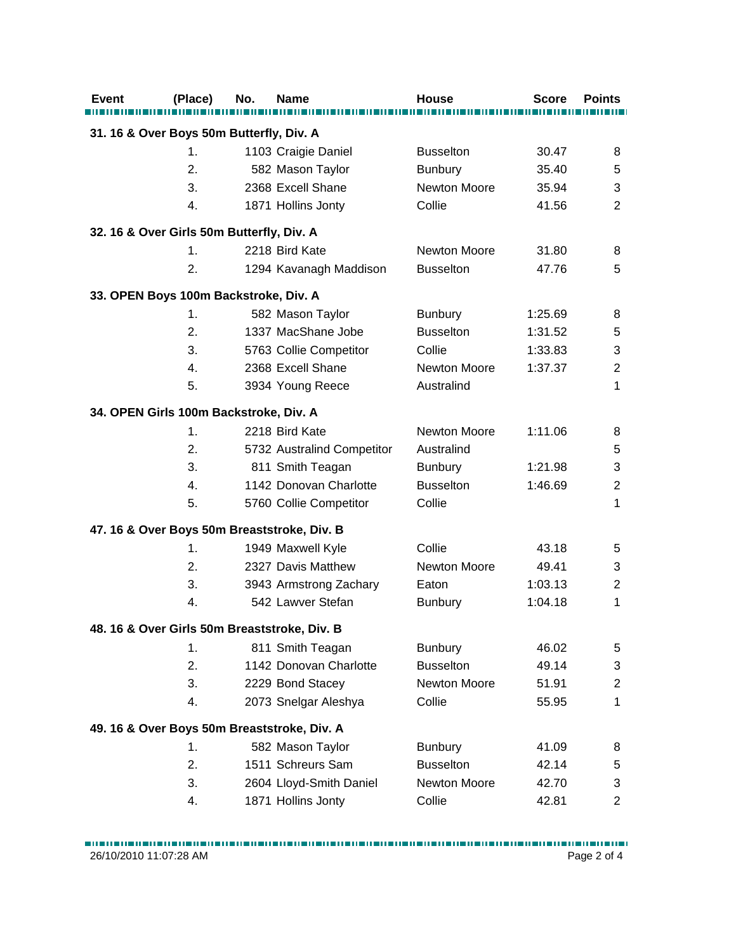| <b>Event</b>                              | (Place) | No. | Name                                         | <b>House</b>        | <b>Score</b> | <b>Points</b>             |
|-------------------------------------------|---------|-----|----------------------------------------------|---------------------|--------------|---------------------------|
|                                           |         |     |                                              |                     |              |                           |
| 31. 16 & Over Boys 50m Butterfly, Div. A  |         |     |                                              |                     |              |                           |
|                                           | 1.      |     | 1103 Craigie Daniel                          | <b>Busselton</b>    | 30.47        | 8                         |
|                                           | 2.      |     | 582 Mason Taylor                             | <b>Bunbury</b>      | 35.40        | 5                         |
|                                           | 3.      |     | 2368 Excell Shane                            | Newton Moore        | 35.94        | 3                         |
|                                           | 4.      |     | 1871 Hollins Jonty                           | Collie              | 41.56        | $\overline{2}$            |
| 32. 16 & Over Girls 50m Butterfly, Div. A |         |     |                                              |                     |              |                           |
|                                           | 1.      |     | 2218 Bird Kate                               | <b>Newton Moore</b> | 31.80        | 8                         |
|                                           | 2.      |     | 1294 Kavanagh Maddison                       | <b>Busselton</b>    | 47.76        | 5                         |
| 33. OPEN Boys 100m Backstroke, Div. A     |         |     |                                              |                     |              |                           |
|                                           | 1.      |     | 582 Mason Taylor                             | <b>Bunbury</b>      | 1:25.69      | 8                         |
|                                           | 2.      |     | 1337 MacShane Jobe                           | <b>Busselton</b>    | 1:31.52      | 5                         |
|                                           | 3.      |     | 5763 Collie Competitor                       | Collie              | 1:33.83      | 3                         |
|                                           | 4.      |     | 2368 Excell Shane                            | Newton Moore        | 1:37.37      | $\overline{2}$            |
|                                           | 5.      |     | 3934 Young Reece                             | Australind          |              | 1                         |
| 34. OPEN Girls 100m Backstroke, Div. A    |         |     |                                              |                     |              |                           |
|                                           | 1.      |     | 2218 Bird Kate                               | Newton Moore        | 1:11.06      | 8                         |
|                                           | 2.      |     | 5732 Australind Competitor                   | Australind          |              | 5                         |
|                                           | 3.      |     | 811 Smith Teagan                             | <b>Bunbury</b>      | 1:21.98      | $\ensuremath{\mathsf{3}}$ |
|                                           | 4.      |     | 1142 Donovan Charlotte                       | <b>Busselton</b>    | 1:46.69      | $\overline{2}$            |
|                                           | 5.      |     | 5760 Collie Competitor                       | Collie              |              | 1                         |
|                                           |         |     | 47. 16 & Over Boys 50m Breaststroke, Div. B  |                     |              |                           |
|                                           | 1.      |     | 1949 Maxwell Kyle                            | Collie              | 43.18        | 5                         |
|                                           | 2.      |     | 2327 Davis Matthew                           | Newton Moore        | 49.41        | 3                         |
|                                           | 3.      |     | 3943 Armstrong Zachary                       | Eaton               | 1:03.13      | $\overline{2}$            |
|                                           | 4.      |     | 542 Lawver Stefan                            | <b>Bunbury</b>      | 1:04.18      | 1                         |
|                                           |         |     | 48. 16 & Over Girls 50m Breaststroke, Div. B |                     |              |                           |
|                                           | 1.      |     | 811 Smith Teagan                             | <b>Bunbury</b>      | 46.02        | 5                         |
|                                           | 2.      |     | 1142 Donovan Charlotte                       | <b>Busselton</b>    | 49.14        | $\ensuremath{\mathsf{3}}$ |
|                                           | 3.      |     | 2229 Bond Stacey                             | Newton Moore        | 51.91        | $\overline{c}$            |
|                                           | 4.      |     | 2073 Snelgar Aleshya                         | Collie              | 55.95        | 1                         |
|                                           |         |     | 49. 16 & Over Boys 50m Breaststroke, Div. A  |                     |              |                           |
|                                           | 1.      |     | 582 Mason Taylor                             | <b>Bunbury</b>      | 41.09        | 8                         |
|                                           | 2.      |     | 1511 Schreurs Sam                            | <b>Busselton</b>    | 42.14        | 5                         |
|                                           | 3.      |     | 2604 Lloyd-Smith Daniel                      | Newton Moore        | 42.70        | 3                         |
|                                           | 4.      |     | 1871 Hollins Jonty                           | Collie              | 42.81        | 2                         |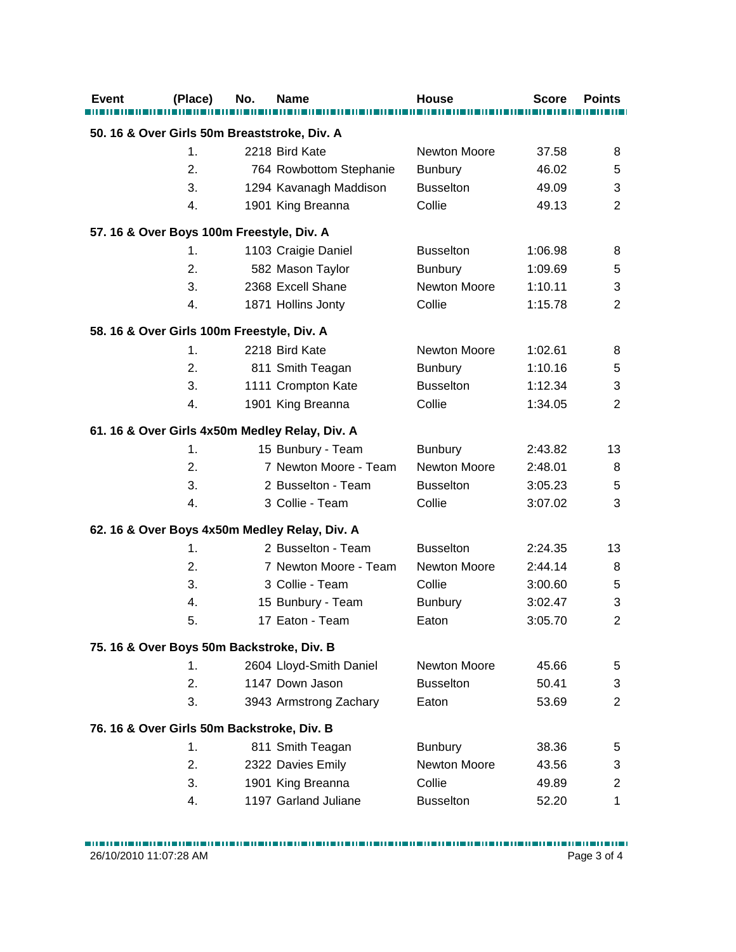| <b>Event</b> | (Place)                                    | No. | Name                                           | House               | <b>Score</b> | <b>Points</b>  |
|--------------|--------------------------------------------|-----|------------------------------------------------|---------------------|--------------|----------------|
|              |                                            |     |                                                |                     |              |                |
|              |                                            |     | 50. 16 & Over Girls 50m Breaststroke, Div. A   |                     |              |                |
|              | 1.                                         |     | 2218 Bird Kate                                 | <b>Newton Moore</b> | 37.58        | 8              |
|              | 2.                                         |     | 764 Rowbottom Stephanie                        | <b>Bunbury</b>      | 46.02        | 5              |
|              | 3.                                         |     | 1294 Kavanagh Maddison                         | <b>Busselton</b>    | 49.09        | 3              |
|              | 4.                                         |     | 1901 King Breanna                              | Collie              | 49.13        | $\overline{2}$ |
|              | 57. 16 & Over Boys 100m Freestyle, Div. A  |     |                                                |                     |              |                |
|              | 1.                                         |     | 1103 Craigie Daniel                            | <b>Busselton</b>    | 1:06.98      | 8              |
|              | 2.                                         |     | 582 Mason Taylor                               | <b>Bunbury</b>      | 1:09.69      | 5              |
|              | 3.                                         |     | 2368 Excell Shane                              | Newton Moore        | 1:10.11      | 3              |
|              | 4.                                         |     | 1871 Hollins Jonty                             | Collie              | 1:15.78      | $\overline{2}$ |
|              | 58. 16 & Over Girls 100m Freestyle, Div. A |     |                                                |                     |              |                |
|              | 1.                                         |     | 2218 Bird Kate                                 | Newton Moore        | 1:02.61      | 8              |
|              | 2.                                         |     | 811 Smith Teagan                               | <b>Bunbury</b>      | 1:10.16      | 5              |
|              | 3.                                         |     | 1111 Crompton Kate                             | <b>Busselton</b>    | 1:12.34      | 3              |
|              | 4.                                         |     | 1901 King Breanna                              | Collie              | 1:34.05      | $\overline{2}$ |
|              |                                            |     | 61. 16 & Over Girls 4x50m Medley Relay, Div. A |                     |              |                |
|              | 1.                                         |     | 15 Bunbury - Team                              | <b>Bunbury</b>      | 2:43.82      | 13             |
|              | 2.                                         |     | 7 Newton Moore - Team                          | Newton Moore        | 2:48.01      | 8              |
|              | 3.                                         |     | 2 Busselton - Team                             | <b>Busselton</b>    | 3:05.23      | 5              |
|              | 4.                                         |     | 3 Collie - Team                                | Collie              | 3:07.02      | 3              |
|              |                                            |     | 62. 16 & Over Boys 4x50m Medley Relay, Div. A  |                     |              |                |
|              | 1.                                         |     | 2 Busselton - Team                             | <b>Busselton</b>    | 2:24.35      | 13             |
|              | 2.                                         |     | 7 Newton Moore - Team                          | Newton Moore        | 2:44.14      | 8              |
|              | 3.                                         |     | 3 Collie - Team                                | Collie              | 3:00.60      | 5              |
|              | 4.                                         |     | 15 Bunbury - Team                              | <b>Bunbury</b>      | 3:02.47      | 3              |
|              | 5.                                         |     | 17 Eaton - Team                                | Eaton               | 3:05.70      | $\overline{2}$ |
|              |                                            |     |                                                |                     |              |                |
|              | 75. 16 & Over Boys 50m Backstroke, Div. B  |     |                                                |                     |              |                |
|              | 1.                                         |     | 2604 Lloyd-Smith Daniel                        | <b>Newton Moore</b> | 45.66        | 5              |
|              | 2.                                         |     | 1147 Down Jason                                | <b>Busselton</b>    | 50.41        | 3              |
|              | 3.                                         |     | 3943 Armstrong Zachary                         | Eaton               | 53.69        | $\overline{2}$ |
|              | 76. 16 & Over Girls 50m Backstroke, Div. B |     |                                                |                     |              |                |
|              | 1.                                         |     | 811 Smith Teagan                               | <b>Bunbury</b>      | 38.36        | 5              |
|              | 2.                                         |     | 2322 Davies Emily                              | <b>Newton Moore</b> | 43.56        | 3              |
|              | 3.                                         |     | 1901 King Breanna                              | Collie              | 49.89        | $\overline{c}$ |
|              | 4.                                         |     | 1197 Garland Juliane                           | <b>Busselton</b>    | 52.20        | 1              |